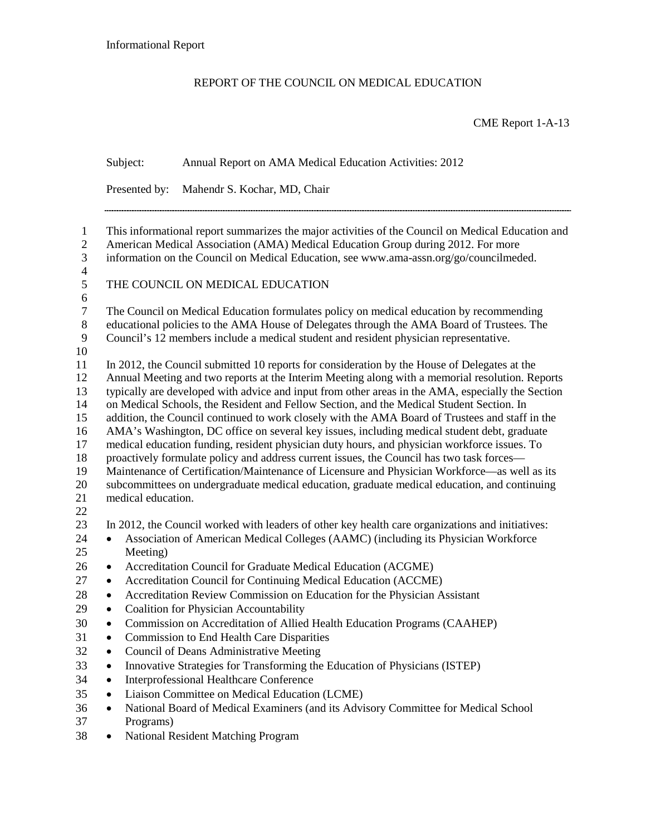## REPORT OF THE COUNCIL ON MEDICAL EDUCATION

CME Report 1-A-13

|                                                                                | Subject:                                                                                                                                                                                                                                                                                                                                                                                                                                                                                                                                                                                                                                                                                                                                                                                                                                                                                                                                                                                                              | Annual Report on AMA Medical Education Activities: 2012                                                                                                                                                                                                                                                                                                                                                                                                                                                                                                                                                                                                                                                                                      |  |
|--------------------------------------------------------------------------------|-----------------------------------------------------------------------------------------------------------------------------------------------------------------------------------------------------------------------------------------------------------------------------------------------------------------------------------------------------------------------------------------------------------------------------------------------------------------------------------------------------------------------------------------------------------------------------------------------------------------------------------------------------------------------------------------------------------------------------------------------------------------------------------------------------------------------------------------------------------------------------------------------------------------------------------------------------------------------------------------------------------------------|----------------------------------------------------------------------------------------------------------------------------------------------------------------------------------------------------------------------------------------------------------------------------------------------------------------------------------------------------------------------------------------------------------------------------------------------------------------------------------------------------------------------------------------------------------------------------------------------------------------------------------------------------------------------------------------------------------------------------------------------|--|
|                                                                                | Presented by:                                                                                                                                                                                                                                                                                                                                                                                                                                                                                                                                                                                                                                                                                                                                                                                                                                                                                                                                                                                                         | Mahendr S. Kochar, MD, Chair                                                                                                                                                                                                                                                                                                                                                                                                                                                                                                                                                                                                                                                                                                                 |  |
| $\mathbf{1}$<br>$\mathbf{2}$<br>$\mathfrak{Z}$<br>$\overline{4}$               | This informational report summarizes the major activities of the Council on Medical Education and<br>American Medical Association (AMA) Medical Education Group during 2012. For more<br>information on the Council on Medical Education, see www.ama-assn.org/go/councilmeded.                                                                                                                                                                                                                                                                                                                                                                                                                                                                                                                                                                                                                                                                                                                                       |                                                                                                                                                                                                                                                                                                                                                                                                                                                                                                                                                                                                                                                                                                                                              |  |
| 5                                                                              |                                                                                                                                                                                                                                                                                                                                                                                                                                                                                                                                                                                                                                                                                                                                                                                                                                                                                                                                                                                                                       | THE COUNCIL ON MEDICAL EDUCATION                                                                                                                                                                                                                                                                                                                                                                                                                                                                                                                                                                                                                                                                                                             |  |
| 6<br>$\tau$<br>$\,8\,$<br>9<br>10                                              | The Council on Medical Education formulates policy on medical education by recommending<br>educational policies to the AMA House of Delegates through the AMA Board of Trustees. The<br>Council's 12 members include a medical student and resident physician representative.                                                                                                                                                                                                                                                                                                                                                                                                                                                                                                                                                                                                                                                                                                                                         |                                                                                                                                                                                                                                                                                                                                                                                                                                                                                                                                                                                                                                                                                                                                              |  |
| 11<br>12<br>13<br>14<br>15<br>16<br>17<br>18<br>19<br>20<br>21<br>22           | In 2012, the Council submitted 10 reports for consideration by the House of Delegates at the<br>Annual Meeting and two reports at the Interim Meeting along with a memorial resolution. Reports<br>typically are developed with advice and input from other areas in the AMA, especially the Section<br>on Medical Schools, the Resident and Fellow Section, and the Medical Student Section. In<br>addition, the Council continued to work closely with the AMA Board of Trustees and staff in the<br>AMA's Washington, DC office on several key issues, including medical student debt, graduate<br>medical education funding, resident physician duty hours, and physician workforce issues. To<br>proactively formulate policy and address current issues, the Council has two task forces-<br>Maintenance of Certification/Maintenance of Licensure and Physician Workforce—as well as its<br>subcommittees on undergraduate medical education, graduate medical education, and continuing<br>medical education. |                                                                                                                                                                                                                                                                                                                                                                                                                                                                                                                                                                                                                                                                                                                                              |  |
| 23<br>24<br>25                                                                 | $\bullet$<br>Meeting)                                                                                                                                                                                                                                                                                                                                                                                                                                                                                                                                                                                                                                                                                                                                                                                                                                                                                                                                                                                                 | In 2012, the Council worked with leaders of other key health care organizations and initiatives:<br>Association of American Medical Colleges (AAMC) (including its Physician Workforce                                                                                                                                                                                                                                                                                                                                                                                                                                                                                                                                                       |  |
| 26<br>27<br>28<br>29<br>$30\,$<br>31<br>32<br>33<br>34<br>35<br>36<br>37<br>38 | ٠<br>$\bullet$<br>$\bullet$<br>٠<br>٠<br>٠<br>$\bullet$<br>٠<br>٠<br>٠<br>Programs)<br>٠                                                                                                                                                                                                                                                                                                                                                                                                                                                                                                                                                                                                                                                                                                                                                                                                                                                                                                                              | Accreditation Council for Graduate Medical Education (ACGME)<br>Accreditation Council for Continuing Medical Education (ACCME)<br>Accreditation Review Commission on Education for the Physician Assistant<br><b>Coalition for Physician Accountability</b><br>Commission on Accreditation of Allied Health Education Programs (CAAHEP)<br><b>Commission to End Health Care Disparities</b><br>Council of Deans Administrative Meeting<br>Innovative Strategies for Transforming the Education of Physicians (ISTEP)<br>Interprofessional Healthcare Conference<br>Liaison Committee on Medical Education (LCME)<br>National Board of Medical Examiners (and its Advisory Committee for Medical School<br>National Resident Matching Program |  |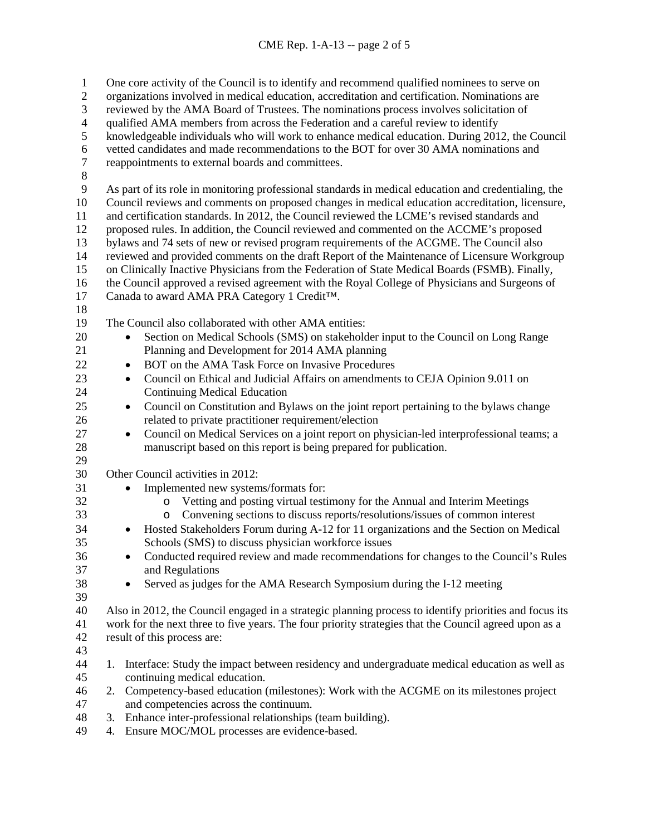| $\mathbf{1}$<br>$\mathbf{2}$ | One core activity of the Council is to identify and recommend qualified nominees to serve on                                                                                             |  |  |
|------------------------------|------------------------------------------------------------------------------------------------------------------------------------------------------------------------------------------|--|--|
| 3                            | organizations involved in medical education, accreditation and certification. Nominations are<br>reviewed by the AMA Board of Trustees. The nominations process involves solicitation of |  |  |
| $\overline{\mathcal{A}}$     |                                                                                                                                                                                          |  |  |
| 5                            | qualified AMA members from across the Federation and a careful review to identify                                                                                                        |  |  |
| 6                            | knowledgeable individuals who will work to enhance medical education. During 2012, the Council                                                                                           |  |  |
| $\boldsymbol{7}$             | vetted candidates and made recommendations to the BOT for over 30 AMA nominations and                                                                                                    |  |  |
| $\,8\,$                      | reappointments to external boards and committees.                                                                                                                                        |  |  |
| 9                            |                                                                                                                                                                                          |  |  |
|                              | As part of its role in monitoring professional standards in medical education and credentialing, the                                                                                     |  |  |
| 10                           | Council reviews and comments on proposed changes in medical education accreditation, licensure,                                                                                          |  |  |
| 11                           | and certification standards. In 2012, the Council reviewed the LCME's revised standards and                                                                                              |  |  |
| 12                           | proposed rules. In addition, the Council reviewed and commented on the ACCME's proposed                                                                                                  |  |  |
| 13                           | bylaws and 74 sets of new or revised program requirements of the ACGME. The Council also                                                                                                 |  |  |
| 14                           | reviewed and provided comments on the draft Report of the Maintenance of Licensure Workgroup                                                                                             |  |  |
| 15                           | on Clinically Inactive Physicians from the Federation of State Medical Boards (FSMB). Finally,                                                                                           |  |  |
| 16                           | the Council approved a revised agreement with the Royal College of Physicians and Surgeons of                                                                                            |  |  |
| 17                           | Canada to award AMA PRA Category 1 Credit <sup>TM</sup> .                                                                                                                                |  |  |
| 18                           |                                                                                                                                                                                          |  |  |
| 19                           | The Council also collaborated with other AMA entities:                                                                                                                                   |  |  |
| 20                           | Section on Medical Schools (SMS) on stakeholder input to the Council on Long Range<br>$\bullet$                                                                                          |  |  |
| 21                           | Planning and Development for 2014 AMA planning                                                                                                                                           |  |  |
| 22                           | BOT on the AMA Task Force on Invasive Procedures<br>$\bullet$                                                                                                                            |  |  |
| 23                           | Council on Ethical and Judicial Affairs on amendments to CEJA Opinion 9.011 on<br>$\bullet$                                                                                              |  |  |
| 24                           | <b>Continuing Medical Education</b>                                                                                                                                                      |  |  |
| 25                           | Council on Constitution and Bylaws on the joint report pertaining to the bylaws change<br>$\bullet$                                                                                      |  |  |
| 26                           | related to private practitioner requirement/election                                                                                                                                     |  |  |
| 27                           | Council on Medical Services on a joint report on physician-led interprofessional teams; a<br>$\bullet$                                                                                   |  |  |
| 28                           | manuscript based on this report is being prepared for publication.                                                                                                                       |  |  |
| 29                           |                                                                                                                                                                                          |  |  |
| 30                           | Other Council activities in 2012:                                                                                                                                                        |  |  |
| 31                           | Implemented new systems/formats for:<br>$\bullet$                                                                                                                                        |  |  |
| 32                           | Vetting and posting virtual testimony for the Annual and Interim Meetings<br>$\circ$                                                                                                     |  |  |
| 33                           | Convening sections to discuss reports/resolutions/issues of common interest<br>$\circ$                                                                                                   |  |  |
| 34                           | Hosted Stakeholders Forum during A-12 for 11 organizations and the Section on Medical<br>$\bullet$                                                                                       |  |  |
| 35                           | Schools (SMS) to discuss physician workforce issues                                                                                                                                      |  |  |
| 36                           | Conducted required review and made recommendations for changes to the Council's Rules                                                                                                    |  |  |
| 37                           | and Regulations                                                                                                                                                                          |  |  |
| 38                           | Served as judges for the AMA Research Symposium during the I-12 meeting<br>$\bullet$                                                                                                     |  |  |
| 39                           |                                                                                                                                                                                          |  |  |
| 40                           | Also in 2012, the Council engaged in a strategic planning process to identify priorities and focus its                                                                                   |  |  |
| 41                           | work for the next three to five years. The four priority strategies that the Council agreed upon as a                                                                                    |  |  |
| 42                           | result of this process are:                                                                                                                                                              |  |  |
| 43                           |                                                                                                                                                                                          |  |  |
| 44                           | Interface: Study the impact between residency and undergraduate medical education as well as<br>1.                                                                                       |  |  |
| 45                           | continuing medical education.                                                                                                                                                            |  |  |
| 46                           | Competency-based education (milestones): Work with the ACGME on its milestones project<br>2.                                                                                             |  |  |
| 47                           | and competencies across the continuum.                                                                                                                                                   |  |  |
| 48                           | 3. Enhance inter-professional relationships (team building).                                                                                                                             |  |  |
| $\sqrt{ }$                   | 11001101                                                                                                                                                                                 |  |  |

4. Ensure MOC/MOL processes are evidence-based.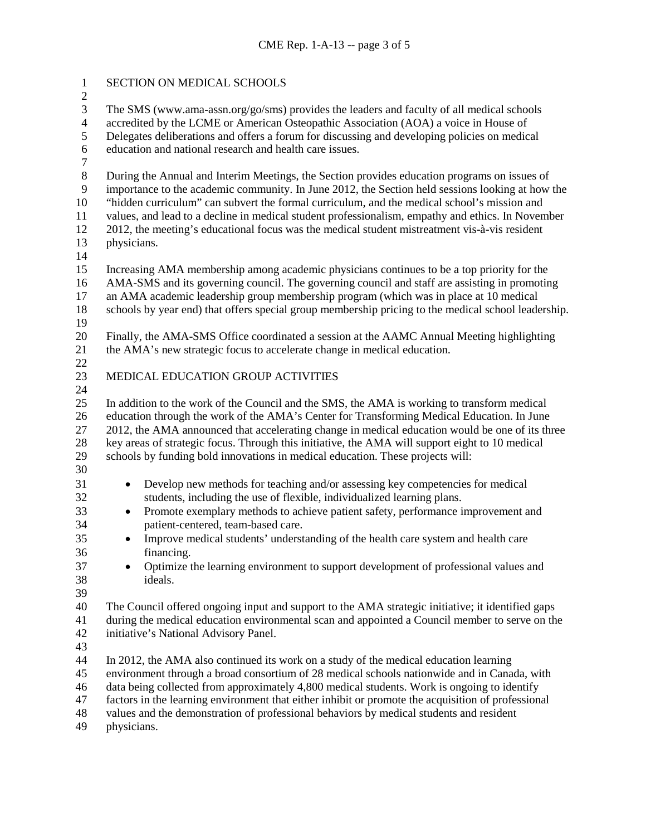| $\mathbf{1}$                                                                        | SECTION ON MEDICAL SCHOOLS                                                                                                                                                                                                                                                                                                                                                                                                                                                                                                      |  |
|-------------------------------------------------------------------------------------|---------------------------------------------------------------------------------------------------------------------------------------------------------------------------------------------------------------------------------------------------------------------------------------------------------------------------------------------------------------------------------------------------------------------------------------------------------------------------------------------------------------------------------|--|
| $\overline{c}$<br>3<br>$\overline{4}$<br>$\sqrt{5}$<br>$\sqrt{6}$<br>$\overline{7}$ | The SMS (www.ama-assn.org/go/sms) provides the leaders and faculty of all medical schools<br>accredited by the LCME or American Osteopathic Association (AOA) a voice in House of<br>Delegates deliberations and offers a forum for discussing and developing policies on medical<br>education and national research and health care issues.                                                                                                                                                                                    |  |
| $\,8\,$<br>$\overline{9}$<br>10<br>11<br>12<br>13<br>14                             | During the Annual and Interim Meetings, the Section provides education programs on issues of<br>importance to the academic community. In June 2012, the Section held sessions looking at how the<br>"hidden curriculum" can subvert the formal curriculum, and the medical school's mission and<br>values, and lead to a decline in medical student professionalism, empathy and ethics. In November<br>2012, the meeting's educational focus was the medical student mistreatment vis-à-vis resident<br>physicians.            |  |
| 15<br>16<br>17<br>18<br>19                                                          | Increasing AMA membership among academic physicians continues to be a top priority for the<br>AMA-SMS and its governing council. The governing council and staff are assisting in promoting<br>an AMA academic leadership group membership program (which was in place at 10 medical<br>schools by year end) that offers special group membership pricing to the medical school leadership.                                                                                                                                     |  |
| 20<br>21                                                                            | Finally, the AMA-SMS Office coordinated a session at the AAMC Annual Meeting highlighting<br>the AMA's new strategic focus to accelerate change in medical education.                                                                                                                                                                                                                                                                                                                                                           |  |
| 22<br>23<br>24                                                                      | MEDICAL EDUCATION GROUP ACTIVITIES                                                                                                                                                                                                                                                                                                                                                                                                                                                                                              |  |
| 25<br>26<br>27<br>28<br>29                                                          | In addition to the work of the Council and the SMS, the AMA is working to transform medical<br>education through the work of the AMA's Center for Transforming Medical Education. In June<br>2012, the AMA announced that accelerating change in medical education would be one of its three<br>key areas of strategic focus. Through this initiative, the AMA will support eight to 10 medical<br>schools by funding bold innovations in medical education. These projects will:                                               |  |
| 30<br>31<br>32<br>33<br>34<br>35<br>36<br>37<br>38                                  | Develop new methods for teaching and/or assessing key competencies for medical<br>$\bullet$<br>students, including the use of flexible, individualized learning plans.<br>Promote exemplary methods to achieve patient safety, performance improvement and<br>$\bullet$<br>patient-centered, team-based care.<br>Improve medical students' understanding of the health care system and health care<br>financing.<br>Optimize the learning environment to support development of professional values and<br>$\bullet$<br>ideals. |  |
| 39<br>40<br>41<br>42<br>43                                                          | The Council offered ongoing input and support to the AMA strategic initiative; it identified gaps<br>during the medical education environmental scan and appointed a Council member to serve on the<br>initiative's National Advisory Panel.                                                                                                                                                                                                                                                                                    |  |
| 44<br>45<br>46<br>47<br>48<br>49                                                    | In 2012, the AMA also continued its work on a study of the medical education learning<br>environment through a broad consortium of 28 medical schools nationwide and in Canada, with<br>data being collected from approximately 4,800 medical students. Work is ongoing to identify<br>factors in the learning environment that either inhibit or promote the acquisition of professional<br>values and the demonstration of professional behaviors by medical students and resident<br>physicians.                             |  |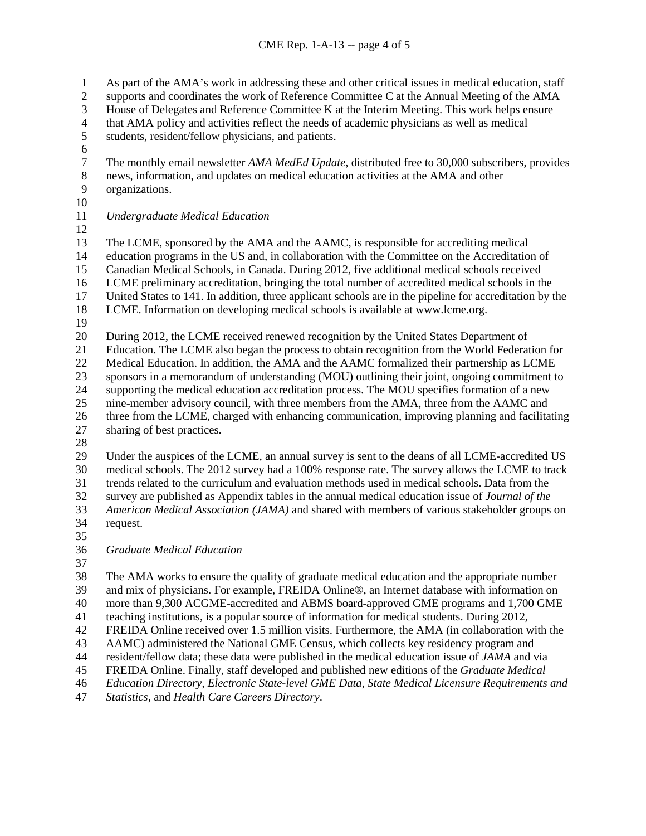As part of the AMA's work in addressing these and other critical issues in medical education, staff supports and coordinates the work of Reference Committee C at the Annual Meeting of the AMA House of Delegates and Reference Committee K at the Interim Meeting. This work helps ensure 4 that AMA policy and activities reflect the needs of academic physicians as well as medical<br>5 students, resident/fellow physicians, and patients. students, resident/fellow physicians, and patients. 6<br>7 7 The monthly email newsletter *AMA MedEd Update*, distributed free to 30,000 subscribers, provides<br>8 news. information, and updates on medical education activities at the AMA and other news, information, and updates on medical education activities at the AMA and other organizations. *Undergraduate Medical Education*  The LCME, sponsored by the AMA and the AAMC, is responsible for accrediting medical education programs in the US and, in collaboration with the Committee on the Accreditation of Canadian Medical Schools, in Canada. During 2012, five additional medical schools received LCME preliminary accreditation, bringing the total number of accredited medical schools in the United States to 141. In addition, three applicant schools are in the pipeline for accreditation by the LCME. Information on developing medical schools is available at www.lcme.org. 20 During 2012, the LCME received renewed recognition by the United States Department of<br>21 Education. The LCME also began the process to obtain recognition from the World Federat Education. The LCME also began the process to obtain recognition from the World Federation for Medical Education. In addition, the AMA and the AAMC formalized their partnership as LCME sponsors in a memorandum of understanding (MOU) outlining their joint, ongoing commitment to supporting the medical education accreditation process. The MOU specifies formation of a new nine-member advisory council, with three members from the AMA, three from the AAMC and three from the LCME, charged with enhancing communication, improving planning and facilitating sharing of best practices. Under the auspices of the LCME, an annual survey is sent to the deans of all LCME-accredited US medical schools. The 2012 survey had a 100% response rate. The survey allows the LCME to track trends related to the curriculum and evaluation methods used in medical schools. Data from the survey are published as Appendix tables in the annual medical education issue of *Journal of the American Medical Association (JAMA)* and shared with members of various stakeholder groups on request. *Graduate Medical Education* The AMA works to ensure the quality of graduate medical education and the appropriate number and mix of physicians. For example, FREIDA Online®, an Internet database with information on more than 9,300 ACGME-accredited and ABMS board-approved GME programs and 1,700 GME teaching institutions, is a popular source of information for medical students. During 2012, FREIDA Online received over 1.5 million visits. Furthermore, the AMA (in collaboration with the AAMC) administered the National GME Census, which collects key residency program and resident/fellow data; these data were published in the medical education issue of *JAMA* and via FREIDA Online. Finally, staff developed and published new editions of the *Graduate Medical* 

*Education Directory*, *Electronic State-level GME Data*, *State Medical Licensure Requirements and* 

*Statistics*, and *Health Care Careers Directory*.